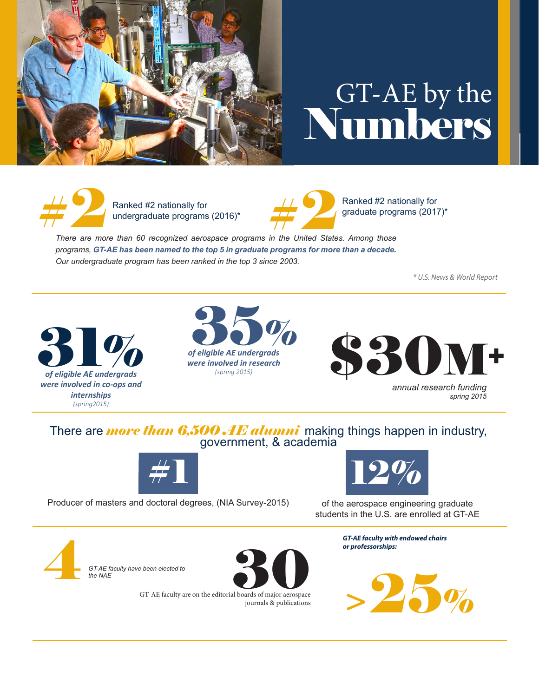

## GT-AE by the Numbers



Ranked #2 nationally for undergraduate programs (2016)\*



Ranked #2 nationally for graduate programs (2017)\*

**There are more than 60 recognized aerospace programs in the United States. Among those** *programs, GT-AE has been named to the top 5 in graduate programs for more than a decade. Our undergraduate program has been ranked in the top 3 since 2003.*

*\* U.S. News & World Report*







*annual research funding spring 2015*

## There are *more than 6,500 AE alumni* making things happen in industry, government, & academia



Producer of masters and doctoral degrees, (NIA Survey-2015)



of the aerospace engineering graduate students in the U.S. are enrolled at GT-AE

> *GT-AE faculty with endowed chairs or professorships:*



**GT-AE faculty have been elected to**<br>the NAE *the NAE*



GT-AE faculty are on the editorial boards of major aerospace journals & publications